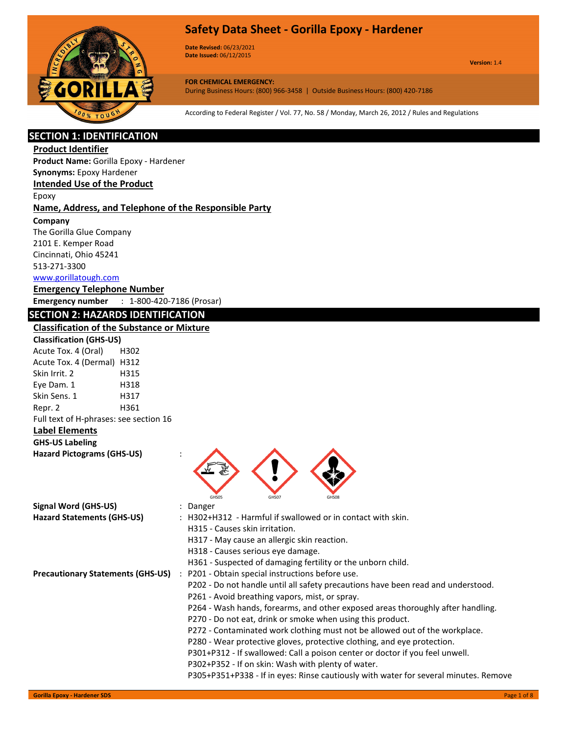

**Date Revised:** 06/23/2021 **Date Issued:** 06/12/2015

**Version:** 1.4

**FOR CHEMICAL EMERGENCY:** During Business Hours: (800) 966-3458 | Outside Business Hours: (800) 420-7186

According to Federal Register / Vol. 77, No. 58 / Monday, March 26, 2012 / Rules and Regulations

# **SECTION 1: IDENTIFICATION**

### **Product Identifier**

**Product Name:** Gorilla Epoxy - Hardener

**Synonyms:** Epoxy Hardener

**Intended Use of the Product**

Epoxy

### **Name, Address, and Telephone of the Responsible Party**

### **Company**

The Gorilla Glue Company 2101 E. Kemper Road Cincinnati, Ohio 45241 513-271-3300

### www.gorillatough.com

**Emergency Telephone Number**

**Emergency number** : 1-800-420-7186 (Prosar)

# **SECTION 2: HAZARDS IDENTIFICATION**

## **Classification of the Substance or Mixture**

### **Classification (GHS-US)**

**Signal Word (GHS-US)** : Danger

Acute Tox. 4 (Oral) H302 Acute Tox. 4 (Dermal) H312 Skin Irrit. 2 H315 Eye Dam. 1 H318 Skin Sens. 1 H317 Repr. 2 H361 Full text of H-phrases: see section 16 **Label Elements GHS-US Labeling Hazard Pictograms (GHS-US)** :



| Signal word (GHS-US)                     | : Danger                                                                             |
|------------------------------------------|--------------------------------------------------------------------------------------|
| <b>Hazard Statements (GHS-US)</b>        | : H302+H312 - Harmful if swallowed or in contact with skin.                          |
|                                          | H315 - Causes skin irritation.                                                       |
|                                          | H317 - May cause an allergic skin reaction.                                          |
|                                          | H318 - Causes serious eye damage.                                                    |
|                                          | H361 - Suspected of damaging fertility or the unborn child.                          |
| <b>Precautionary Statements (GHS-US)</b> | : P201 - Obtain special instructions before use.                                     |
|                                          | P202 - Do not handle until all safety precautions have been read and understood.     |
|                                          | P261 - Avoid breathing vapors, mist, or spray.                                       |
|                                          | P264 - Wash hands, forearms, and other exposed areas thoroughly after handling.      |
|                                          | P270 - Do not eat, drink or smoke when using this product.                           |
|                                          | P272 - Contaminated work clothing must not be allowed out of the workplace.          |
|                                          | P280 - Wear protective gloves, protective clothing, and eye protection.              |
|                                          | P301+P312 - If swallowed: Call a poison center or doctor if you feel unwell.         |
|                                          | P302+P352 - If on skin: Wash with plenty of water.                                   |
|                                          | P305+P351+P338 - If in eyes: Rinse cautiously with water for several minutes. Remove |
|                                          |                                                                                      |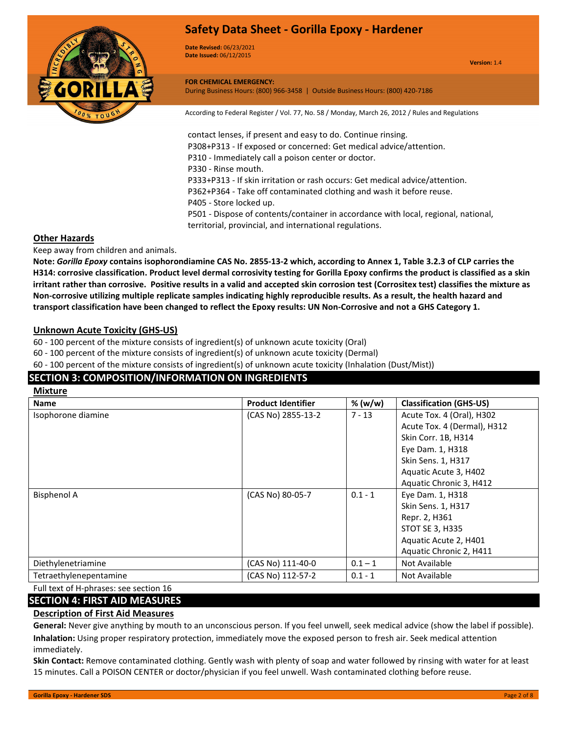

**Date Revised:** 06/23/2021 **Date Issued:** 06/12/2015

**FOR CHEMICAL EMERGENCY:** During Business Hours: (800) 966-3458 | Outside Business Hours: (800) 420-7186

According to Federal Register / Vol. 77, No. 58 / Monday, March 26, 2012 / Rules and Regulations

contact lenses, if present and easy to do. Continue rinsing. P308+P313 - If exposed or concerned: Get medical advice/attention. P310 - Immediately call a poison center or doctor. P330 - Rinse mouth. P333+P313 - If skin irritation or rash occurs: Get medical advice/attention. P362+P364 - Take off contaminated clothing and wash it before reuse. P405 - Store locked up. P501 - Dispose of contents/container in accordance with local, regional, national, territorial, provincial, and international regulations.

#### **Other Hazards**

**Mixture**

Keep away from children and animals.

**Note:** *Gorilla Epoxy* **contains isophorondiamine CAS No. 2855-13-2 which, according to Annex 1, Table 3.2.3 of CLP carries the H314: corrosive classification. Product level dermal corrosivity testing for Gorilla Epoxy confirms the product is classified as a skin irritant rather than corrosive. Positive results in a valid and accepted skin corrosion test (Corrositex test) classifies the mixture as Non-corrosive utilizing multiple replicate samples indicating highly reproducible results. As a result, the health hazard and transport classification have been changed to reflect the Epoxy results: UN Non-Corrosive and not a GHS Category 1.**

### **Unknown Acute Toxicity (GHS-US)**

60 - 100 percent of the mixture consists of ingredient(s) of unknown acute toxicity (Oral)

60 - 100 percent of the mixture consists of ingredient(s) of unknown acute toxicity (Dermal)

60 - 100 percent of the mixture consists of ingredient(s) of unknown acute toxicity (Inhalation (Dust/Mist))

## **SECTION 3: COMPOSITION/INFORMATION ON INGREDIENTS**

| <b>Name</b>            | <b>Product Identifier</b> | % (w/w)   | <b>Classification (GHS-US)</b> |
|------------------------|---------------------------|-----------|--------------------------------|
| Isophorone diamine     | (CAS No) 2855-13-2        | $7 - 13$  | Acute Tox. 4 (Oral), H302      |
|                        |                           |           | Acute Tox. 4 (Dermal), H312    |
|                        |                           |           | Skin Corr. 1B, H314            |
|                        |                           |           | Eye Dam. 1, H318               |
|                        |                           |           | Skin Sens. 1, H317             |
|                        |                           |           | Aquatic Acute 3, H402          |
|                        |                           |           | Aquatic Chronic 3, H412        |
| <b>Bisphenol A</b>     | (CAS No) 80-05-7          | $0.1 - 1$ | Eye Dam. 1, H318               |
|                        |                           |           | Skin Sens. 1, H317             |
|                        |                           |           | Repr. 2, H361                  |
|                        |                           |           | <b>STOT SE 3, H335</b>         |
|                        |                           |           | Aquatic Acute 2, H401          |
|                        |                           |           | Aquatic Chronic 2, H411        |
| Diethylenetriamine     | (CAS No) 111-40-0         | $0.1 - 1$ | Not Available                  |
| Tetraethylenepentamine | (CAS No) 112-57-2         | $0.1 - 1$ | Not Available                  |

Full text of H-phrases: see section 16

### **SECTION 4: FIRST AID MEASURES**

### **Description of First Aid Measures**

**General:** Never give anything by mouth to an unconscious person. If you feel unwell, seek medical advice (show the label if possible). **Inhalation:** Using proper respiratory protection, immediately move the exposed person to fresh air. Seek medical attention immediately.

**Skin Contact:** Remove contaminated clothing. Gently wash with plenty of soap and water followed by rinsing with water for at least 15 minutes. Call a POISON CENTER or doctor/physician if you feel unwell. Wash contaminated clothing before reuse.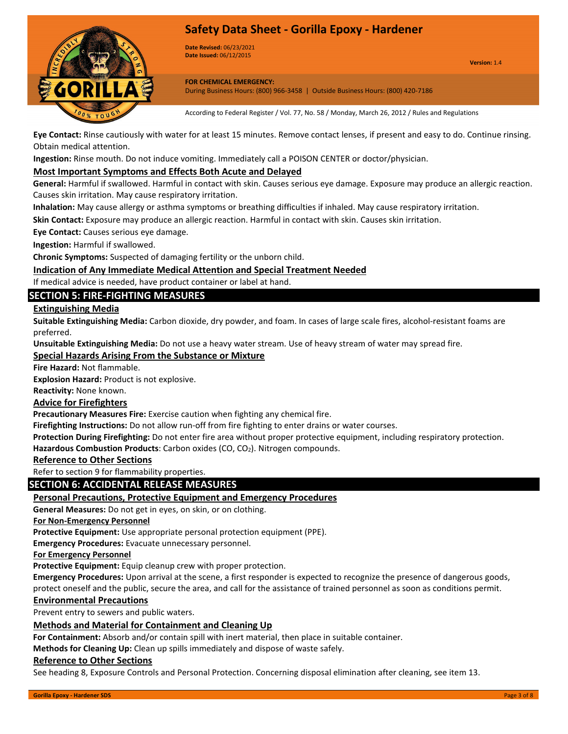

**Date Revised:** 06/23/2021 **Date Issued:** 06/12/2015

**Version:** 1.4

**FOR CHEMICAL EMERGENCY:** During Business Hours: (800) 966-3458 | Outside Business Hours: (800) 420-7186

According to Federal Register / Vol. 77, No. 58 / Monday, March 26, 2012 / Rules and Regulations

**Eye Contact:** Rinse cautiously with water for at least 15 minutes. Remove contact lenses, if present and easy to do. Continue rinsing. Obtain medical attention.

**Ingestion:** Rinse mouth. Do not induce vomiting. Immediately call a POISON CENTER or doctor/physician.

## **Most Important Symptoms and Effects Both Acute and Delayed**

**General:** Harmful if swallowed. Harmful in contact with skin. Causes serious eye damage. Exposure may produce an allergic reaction. Causes skin irritation. May cause respiratory irritation.

**Inhalation:** May cause allergy or asthma symptoms or breathing difficulties if inhaled. May cause respiratory irritation.

**Skin Contact:** Exposure may produce an allergic reaction. Harmful in contact with skin. Causes skin irritation.

**Eye Contact:** Causes serious eye damage.

**Ingestion:** Harmful if swallowed.

**Chronic Symptoms:** Suspected of damaging fertility or the unborn child.

## **Indication of Any Immediate Medical Attention and Special Treatment Needed**

If medical advice is needed, have product container or label at hand.

# **SECTION 5: FIRE-FIGHTING MEASURES**

### **Extinguishing Media**

**Suitable Extinguishing Media:** Carbon dioxide, dry powder, and foam. In cases of large scale fires, alcohol-resistant foams are preferred.

**Unsuitable Extinguishing Media:** Do not use a heavy water stream. Use of heavy stream of water may spread fire.

## **Special Hazards Arising From the Substance or Mixture**

**Fire Hazard:** Not flammable.

**Explosion Hazard:** Product is not explosive.

**Reactivity:** None known.

### **Advice for Firefighters**

**Precautionary Measures Fire:** Exercise caution when fighting any chemical fire.

**Firefighting Instructions:** Do not allow run-off from fire fighting to enter drains or water courses.

**Protection During Firefighting:** Do not enter fire area without proper protective equipment, including respiratory protection.

Hazardous Combustion Products: Carbon oxides (CO, CO<sub>2</sub>). Nitrogen compounds.

### **Reference to Other Sections**

Refer to section 9 for flammability properties.

# **SECTION 6: ACCIDENTAL RELEASE MEASURES**

### **Personal Precautions, Protective Equipment and Emergency Procedures**

**General Measures:** Do not get in eyes, on skin, or on clothing.

### **For Non-Emergency Personnel**

**Protective Equipment:** Use appropriate personal protection equipment (PPE).

**Emergency Procedures:** Evacuate unnecessary personnel.

### **For Emergency Personnel**

**Protective Equipment:** Equip cleanup crew with proper protection.

**Emergency Procedures:** Upon arrival at the scene, a first responder is expected to recognize the presence of dangerous goods, protect oneself and the public, secure the area, and call for the assistance of trained personnel as soon as conditions permit.

# **Environmental Precautions**

Prevent entry to sewers and public waters.

## **Methods and Material for Containment and Cleaning Up**

**For Containment:** Absorb and/or contain spill with inert material, then place in suitable container.

**Methods for Cleaning Up:** Clean up spills immediately and dispose of waste safely.

### **Reference to Other Sections**

See heading 8, Exposure Controls and Personal Protection. Concerning disposal elimination after cleaning, see item 13.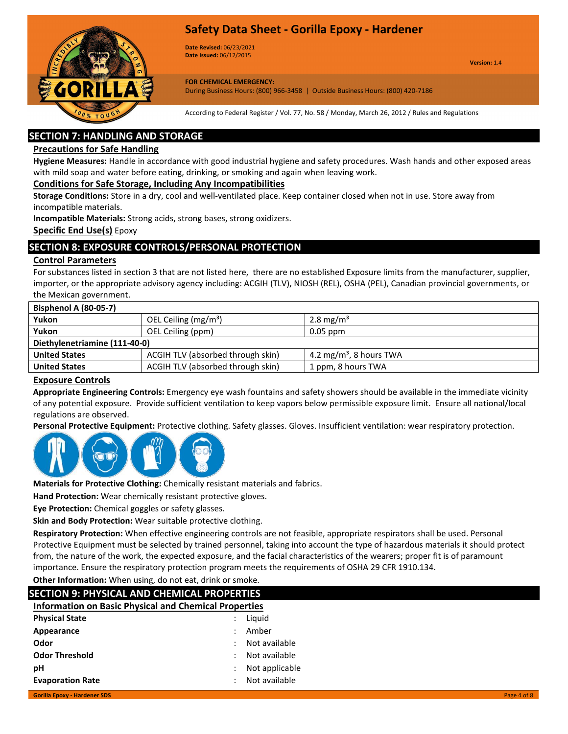

**Date Revised:** 06/23/2021 **Date Issued:** 06/12/2015

**Version:** 1.4

**FOR CHEMICAL EMERGENCY:** During Business Hours: (800) 966-3458 | Outside Business Hours: (800) 420-7186

According to Federal Register / Vol. 77, No. 58 / Monday, March 26, 2012 / Rules and Regulations

# **SECTION 7: HANDLING AND STORAGE**

### **Precautions for Safe Handling**

**Hygiene Measures:** Handle in accordance with good industrial hygiene and safety procedures. Wash hands and other exposed areas with mild soap and water before eating, drinking, or smoking and again when leaving work.

### **Conditions for Safe Storage, Including Any Incompatibilities**

**Storage Conditions:** Store in a dry, cool and well-ventilated place. Keep container closed when not in use. Store away from incompatible materials.

**Incompatible Materials:** Strong acids, strong bases, strong oxidizers.

**Specific End Use(s)** Epoxy

# **SECTION 8: EXPOSURE CONTROLS/PERSONAL PROTECTION**

## **Control Parameters**

For substances listed in section 3 that are not listed here, there are no established Exposure limits from the manufacturer, supplier, importer, or the appropriate advisory agency including: ACGIH (TLV), NIOSH (REL), OSHA (PEL), Canadian provincial governments, or the Mexican government.

| <b>Bisphenol A (80-05-7)</b>  |                                   |                                     |  |  |
|-------------------------------|-----------------------------------|-------------------------------------|--|--|
| Yukon                         | OEL Ceiling $(mg/m3)$             | 2.8 mg/m <sup>3</sup>               |  |  |
| Yukon                         | OEL Ceiling (ppm)                 | $0.05$ ppm                          |  |  |
| Diethylenetriamine (111-40-0) |                                   |                                     |  |  |
| <b>United States</b>          | ACGIH TLV (absorbed through skin) | 4.2 mg/m <sup>3</sup> , 8 hours TWA |  |  |
| <b>United States</b>          | ACGIH TLV (absorbed through skin) | 1 ppm, 8 hours TWA                  |  |  |

### **Exposure Controls**

**Appropriate Engineering Controls:** Emergency eye wash fountains and safety showers should be available in the immediate vicinity of any potential exposure. Provide sufficient ventilation to keep vapors below permissible exposure limit. Ensure all national/local regulations are observed.

**Personal Protective Equipment:** Protective clothing. Safety glasses. Gloves. Insufficient ventilation: wear respiratory protection.



**Materials for Protective Clothing:** Chemically resistant materials and fabrics.

**Hand Protection:** Wear chemically resistant protective gloves.

**Eye Protection:** Chemical goggles or safety glasses.

**Skin and Body Protection:** Wear suitable protective clothing.

**Respiratory Protection:** When effective engineering controls are not feasible, appropriate respirators shall be used. Personal Protective Equipment must be selected by trained personnel, taking into account the type of hazardous materials it should protect from, the nature of the work, the expected exposure, and the facial characteristics of the wearers; proper fit is of paramount importance. Ensure the respiratory protection program meets the requirements of OSHA 29 CFR 1910.134.

#### **Other Information:** When using, do not eat, drink or smoke. **SECTION 9: PHYSICAL AND CHEMICAL PROPERTIES**

| SECTION 9. FATSICAL AND CHEMICAL FROFERTIES                  |                    |             |  |
|--------------------------------------------------------------|--------------------|-------------|--|
| <b>Information on Basic Physical and Chemical Properties</b> |                    |             |  |
| <b>Physical State</b>                                        | Liquid<br>:        |             |  |
| Appearance                                                   | Amber              |             |  |
| Odor                                                         | Not available<br>٠ |             |  |
| <b>Odor Threshold</b>                                        | Not available<br>÷ |             |  |
| рH                                                           | Not applicable     |             |  |
| <b>Evaporation Rate</b>                                      | Not available      |             |  |
| <b>Gorilla Epoxy - Hardener SDS</b>                          |                    | Page 4 of 8 |  |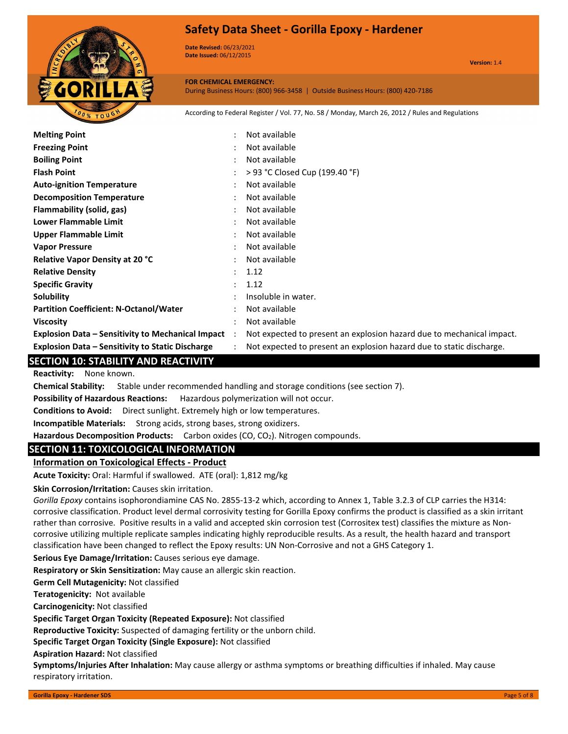

**Date Revised:** 06/23/2021 **Date Issued:** 06/12/2015

**Version:** 1.4

#### **FOR CHEMICAL EMERGENCY:** During Business Hours: (800) 966-3458 | Outside Business Hours: (800) 420-7186

According to Federal Register / Vol. 77, No. 58 / Monday, March 26, 2012 / Rules and Regulations

| <b>Melting Point</b>                                     | $\bullet$ | Not available                                                         |
|----------------------------------------------------------|-----------|-----------------------------------------------------------------------|
| <b>Freezing Point</b>                                    |           | Not available                                                         |
| <b>Boiling Point</b>                                     |           | Not available                                                         |
| <b>Flash Point</b>                                       |           | > 93 °C Closed Cup (199.40 °F)                                        |
| <b>Auto-ignition Temperature</b>                         |           | Not available                                                         |
| <b>Decomposition Temperature</b>                         |           | Not available                                                         |
| Flammability (solid, gas)                                |           | Not available                                                         |
| Lower Flammable Limit                                    |           | Not available                                                         |
| Upper Flammable Limit                                    |           | Not available                                                         |
| <b>Vapor Pressure</b>                                    |           | Not available                                                         |
| <b>Relative Vapor Density at 20 °C</b>                   |           | Not available                                                         |
| <b>Relative Density</b>                                  |           | 1.12                                                                  |
| <b>Specific Gravity</b>                                  |           | 1.12                                                                  |
| Solubility                                               |           | Insoluble in water.                                                   |
| <b>Partition Coefficient: N-Octanol/Water</b>            |           | Not available                                                         |
| <b>Viscosity</b>                                         |           | Not available                                                         |
| <b>Explosion Data - Sensitivity to Mechanical Impact</b> |           | Not expected to present an explosion hazard due to mechanical impact. |
| <b>Explosion Data – Sensitivity to Static Discharge</b>  |           | Not expected to present an explosion hazard due to static discharge.  |

## **SECTION 10: STABILITY AND REACTIVITY**

**Reactivity:** None known.

**Chemical Stability:** Stable under recommended handling and storage conditions (see section 7).

**Possibility of Hazardous Reactions:** Hazardous polymerization will not occur.

**Conditions to Avoid:** Direct sunlight. Extremely high or low temperatures.

**Incompatible Materials:** Strong acids, strong bases, strong oxidizers.

Hazardous Decomposition Products: Carbon oxides (CO, CO<sub>2</sub>). Nitrogen compounds.

# **SECTION 11: TOXICOLOGICAL INFORMATION**

## **Information on Toxicological Effects - Product**

**Acute Toxicity:** Oral: Harmful if swallowed. ATE (oral): 1,812 mg/kg

### **Skin Corrosion/Irritation:** Causes skin irritation.

*Gorilla Epoxy* contains isophorondiamine CAS No. 2855-13-2 which, according to Annex 1, Table 3.2.3 of CLP carries the H314: corrosive classification. Product level dermal corrosivity testing for Gorilla Epoxy confirms the product is classified as a skin irritant rather than corrosive. Positive results in a valid and accepted skin corrosion test (Corrositex test) classifies the mixture as Noncorrosive utilizing multiple replicate samples indicating highly reproducible results. As a result, the health hazard and transport classification have been changed to reflect the Epoxy results: UN Non-Corrosive and not a GHS Category 1.

**Serious Eye Damage/Irritation:** Causes serious eye damage.

**Respiratory or Skin Sensitization:** May cause an allergic skin reaction.

**Germ Cell Mutagenicity:** Not classified

**Teratogenicity:** Not available

**Carcinogenicity:** Not classified

**Specific Target Organ Toxicity (Repeated Exposure):** Not classified

**Reproductive Toxicity:** Suspected of damaging fertility or the unborn child.

**Specific Target Organ Toxicity (Single Exposure):** Not classified

**Aspiration Hazard:** Not classified

**Symptoms/Injuries After Inhalation:** May cause allergy or asthma symptoms or breathing difficulties if inhaled. May cause respiratory irritation.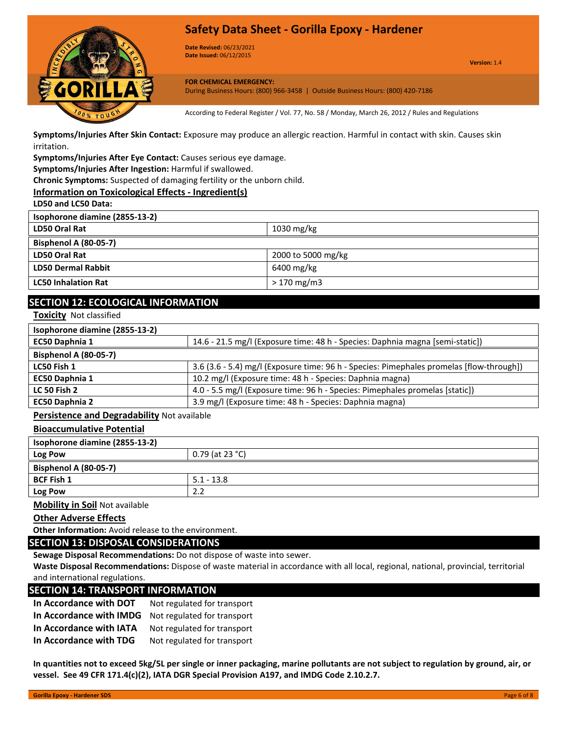

**Date Revised:** 06/23/2021 **Date Issued:** 06/12/2015

**Version:** 1.4

**FOR CHEMICAL EMERGENCY:** During Business Hours: (800) 966-3458 | Outside Business Hours: (800) 420-7186

According to Federal Register / Vol. 77, No. 58 / Monday, March 26, 2012 / Rules and Regulations

**Symptoms/Injuries After Skin Contact:** Exposure may produce an allergic reaction. Harmful in contact with skin. Causes skin irritation.

**Symptoms/Injuries After Eye Contact:** Causes serious eye damage.

**Symptoms/Injuries After Ingestion:** Harmful if swallowed.

**Chronic Symptoms:** Suspected of damaging fertility or the unborn child.

## **Information on Toxicological Effects - Ingredient(s)**

**LD50 and LC50 Data:**

| Isophorone diamine (2855-13-2) |                       |
|--------------------------------|-----------------------|
| <b>LD50 Oral Rat</b>           | 1030 mg/kg            |
| <b>Bisphenol A (80-05-7)</b>   |                       |
| <b>LD50 Oral Rat</b>           | 2000 to 5000 mg/kg    |
| <b>LD50 Dermal Rabbit</b>      | 6400 mg/kg            |
| <b>LC50 Inhalation Rat</b>     | $>170 \text{ mg/m}$ 3 |

# **SECTION 12: ECOLOGICAL INFORMATION**

### **Toxicity** Not classified

| Isophorone diamine (2855-13-2) |                                                                                          |
|--------------------------------|------------------------------------------------------------------------------------------|
| EC50 Daphnia 1                 | 14.6 - 21.5 mg/l (Exposure time: 48 h - Species: Daphnia magna [semi-static])            |
| Bisphenol A (80-05-7)          |                                                                                          |
| LC50 Fish 1                    | 3.6 (3.6 - 5.4) mg/l (Exposure time: 96 h - Species: Pimephales promelas [flow-through]) |
| EC50 Daphnia 1                 | 10.2 mg/l (Exposure time: 48 h - Species: Daphnia magna)                                 |
| <b>LC 50 Fish 2</b>            | 4.0 - 5.5 mg/l (Exposure time: 96 h - Species: Pimephales promelas [static])             |
| <b>EC50 Daphnia 2</b>          | 3.9 mg/l (Exposure time: 48 h - Species: Daphnia magna)                                  |

**Persistence and Degradability** Not available

### **Bioaccumulative Potential**

| Isophorone diamine (2855-13-2) |                           |  |
|--------------------------------|---------------------------|--|
| Log Pow                        | 0.79 (at 23 $^{\circ}$ C) |  |
| <b>Bisphenol A (80-05-7)</b>   |                           |  |
| <b>BCF Fish 1</b>              | $5.1 - 13.8$              |  |
| <b>Log Pow</b>                 | 2.2                       |  |
|                                |                           |  |

## **Mobility in Soil** Not available

### **Other Adverse Effects**

**Other Information:** Avoid release to the environment.

### **SECTION 13: DISPOSAL CONSIDERATIONS**

**Sewage Disposal Recommendations:** Do not dispose of waste into sewer.

**Waste Disposal Recommendations:** Dispose of waste material in accordance with all local, regional, national, provincial, territorial and international regulations.

### **SECTION 14: TRANSPORT INFORMATION**

| In Accordance with DOT  | Not regulated for transport |
|-------------------------|-----------------------------|
| In Accordance with IMDG | Not regulated for transport |
| In Accordance with IATA | Not regulated for transport |
| In Accordance with TDG  | Not regulated for transport |

**In quantities not to exceed 5kg/5L per single or inner packaging, marine pollutants are not subject to regulation by ground, air, or vessel. See 49 CFR 171.4(c)(2), IATA DGR Special Provision A197, and IMDG Code 2.10.2.7.**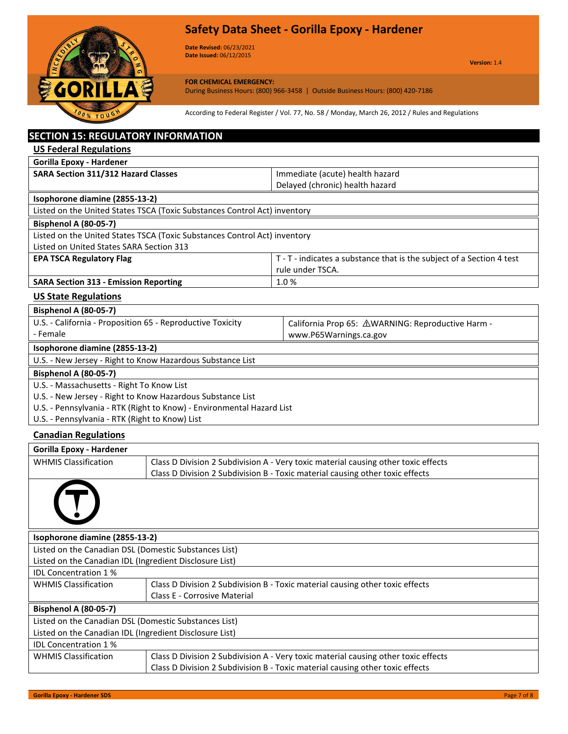

**Date Revised:** 06/23/2021 **Date Issued:** 06/12/2015

**Version:** 1.4

**FOR CHEMICAL EMERGENCY:** During Business Hours: (800) 966-3458 | Outside Business Hours: (800) 420-7186

According to Federal Register / Vol. 77, No. 58 / Monday, March 26, 2012 / Rules and Regulations

| <b>SECTION 15: REGULATORY INFORMATION</b>                                                                    |                                                                           |                                                                                    |
|--------------------------------------------------------------------------------------------------------------|---------------------------------------------------------------------------|------------------------------------------------------------------------------------|
| <b>US Federal Regulations</b>                                                                                |                                                                           |                                                                                    |
| Gorilla Epoxy - Hardener                                                                                     |                                                                           |                                                                                    |
| SARA Section 311/312 Hazard Classes                                                                          |                                                                           | Immediate (acute) health hazard                                                    |
|                                                                                                              |                                                                           | Delayed (chronic) health hazard                                                    |
| Isophorone diamine (2855-13-2)                                                                               |                                                                           |                                                                                    |
|                                                                                                              | Listed on the United States TSCA (Toxic Substances Control Act) inventory |                                                                                    |
| Bisphenol A (80-05-7)                                                                                        |                                                                           |                                                                                    |
|                                                                                                              | Listed on the United States TSCA (Toxic Substances Control Act) inventory |                                                                                    |
| Listed on United States SARA Section 313                                                                     |                                                                           |                                                                                    |
| <b>EPA TSCA Regulatory Flag</b>                                                                              |                                                                           | T - T - indicates a substance that is the subject of a Section 4 test              |
|                                                                                                              |                                                                           | rule under TSCA.                                                                   |
| <b>SARA Section 313 - Emission Reporting</b>                                                                 |                                                                           | 1.0%                                                                               |
| <b>US State Regulations</b>                                                                                  |                                                                           |                                                                                    |
| <b>Bisphenol A (80-05-7)</b>                                                                                 |                                                                           |                                                                                    |
| U.S. - California - Proposition 65 - Reproductive Toxicity                                                   |                                                                           | California Prop 65: AWARNING: Reproductive Harm -                                  |
| - Female                                                                                                     |                                                                           | www.P65Warnings.ca.gov                                                             |
| Isophorone diamine (2855-13-2)                                                                               |                                                                           |                                                                                    |
|                                                                                                              | U.S. - New Jersey - Right to Know Hazardous Substance List                |                                                                                    |
| Bisphenol A (80-05-7)                                                                                        |                                                                           |                                                                                    |
| U.S. - Massachusetts - Right To Know List                                                                    |                                                                           |                                                                                    |
|                                                                                                              | U.S. - New Jersey - Right to Know Hazardous Substance List                |                                                                                    |
|                                                                                                              | U.S. - Pennsylvania - RTK (Right to Know) - Environmental Hazard List     |                                                                                    |
| U.S. - Pennsylvania - RTK (Right to Know) List                                                               |                                                                           |                                                                                    |
| <b>Canadian Regulations</b>                                                                                  |                                                                           |                                                                                    |
| Gorilla Epoxy - Hardener                                                                                     |                                                                           |                                                                                    |
| <b>WHMIS Classification</b>                                                                                  |                                                                           | Class D Division 2 Subdivision A - Very toxic material causing other toxic effects |
|                                                                                                              |                                                                           | Class D Division 2 Subdivision B - Toxic material causing other toxic effects      |
|                                                                                                              |                                                                           |                                                                                    |
| Isophorone diamine (2855-13-2)                                                                               |                                                                           |                                                                                    |
| Listed on the Canadian DSL (Domestic Substances List)                                                        |                                                                           |                                                                                    |
| Listed on the Canadian IDL (Ingredient Disclosure List)                                                      |                                                                           |                                                                                    |
| <b>IDL Concentration 1%</b>                                                                                  |                                                                           |                                                                                    |
| <b>WHMIS Classification</b><br>Class D Division 2 Subdivision B - Toxic material causing other toxic effects |                                                                           |                                                                                    |
| Class E - Corrosive Material                                                                                 |                                                                           |                                                                                    |
| Bisphenol A (80-05-7)                                                                                        |                                                                           |                                                                                    |
| Listed on the Canadian DSL (Domestic Substances List)                                                        |                                                                           |                                                                                    |
| Listed on the Canadian IDL (Ingredient Disclosure List)                                                      |                                                                           |                                                                                    |
| IDL Concentration 1%                                                                                         |                                                                           |                                                                                    |
| <b>WHMIS Classification</b>                                                                                  |                                                                           | Class D Division 2 Subdivision A - Very toxic material causing other toxic effects |
|                                                                                                              |                                                                           | Class D Division 2 Subdivision B - Toxic material causing other toxic effects      |